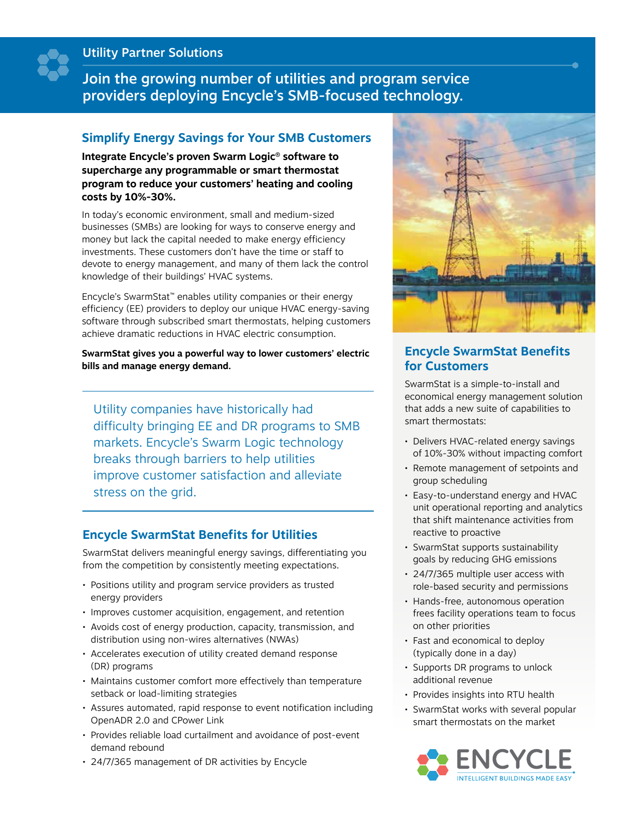Utility Partner Solutions

Join the growing number of utilities and program service providers deploying Encycle's SMB-focused technology.

### **Simplify Energy Savings for Your SMB Customers**

**Integrate Encycle's proven Swarm Logic® software to supercharge any programmable or smart thermostat program to reduce your customers' heating and cooling costs by 10%-30%.**

In today's economic environment, small and medium-sized businesses (SMBs) are looking for ways to conserve energy and money but lack the capital needed to make energy efficiency investments. These customers don't have the time or staff to devote to energy management, and many of them lack the control knowledge of their buildings' HVAC systems.

Encycle's SwarmStat™ enables utility companies or their energy efficiency (EE) providers to deploy our unique HVAC energy-saving software through subscribed smart thermostats, helping customers achieve dramatic reductions in HVAC electric consumption.

**SwarmStat gives you a powerful way to lower customers' electric bills and manage energy demand.**

Utility companies have historically had difficulty bringing EE and DR programs to SMB markets. Encycle's Swarm Logic technology breaks through barriers to help utilities improve customer satisfaction and alleviate stress on the grid.

### **Encycle SwarmStat Benefits for Utilities**

SwarmStat delivers meaningful energy savings, differentiating you from the competition by consistently meeting expectations.

- Positions utility and program service providers as trusted energy providers
- Improves customer acquisition, engagement, and retention
- Avoids cost of energy production, capacity, transmission, and distribution using non-wires alternatives (NWAs)
- Accelerates execution of utility created demand response (DR) programs
- Maintains customer comfort more effectively than temperature setback or load-limiting strategies
- Assures automated, rapid response to event notification including OpenADR 2.0 and CPower Link
- Provides reliable load curtailment and avoidance of post-event demand rebound
- 24/7/365 management of DR activities by Encycle



### **Encycle SwarmStat Benefits for Customers**

SwarmStat is a simple-to-install and economical energy management solution that adds a new suite of capabilities to smart thermostats:

- Delivers HVAC-related energy savings of 10%-30% without impacting comfort
- Remote management of setpoints and group scheduling
- Easy-to-understand energy and HVAC unit operational reporting and analytics that shift maintenance activities from reactive to proactive
- SwarmStat supports sustainability goals by reducing GHG emissions
- 24/7/365 multiple user access with role-based security and permissions
- Hands-free, autonomous operation frees facility operations team to focus on other priorities
- Fast and economical to deploy (typically done in a day)
- Supports DR programs to unlock additional revenue
- Provides insights into RTU health
- SwarmStat works with several popular smart thermostats on the market